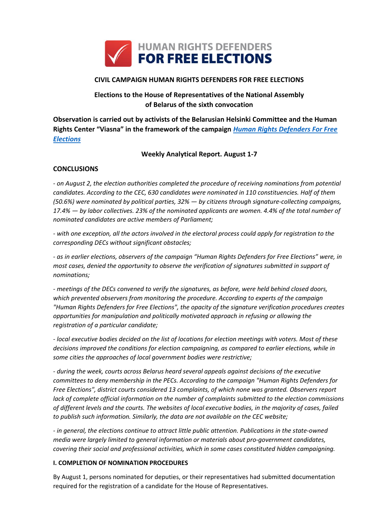

# **CIVIL CAMPAIGN HUMAN RIGHTS DEFENDERS FOR FREE ELECTIONS**

# **Elections to the House of Representatives of the National Assembly of Belarus of the sixth convocation**

**Observation is carried out by activists of the Belarusian Helsinki Committee and the Human Rights Center "Viasna" in the framework of the campaign** *[Human Rights Defenders For Free](http://elections2016.spring96.org/en)  [Elections](http://elections2016.spring96.org/en)*

## **Weekly Analytical Report. August 1-7**

## **CONCLUSIONS**

*- on August 2, the election authorities completed the procedure of receiving nominations from potential candidates. According to the CEC, 630 candidates were nominated in 110 constituencies. Half of them (50.6%) were nominated by political parties, 32% — by citizens through signature-collecting campaigns, 17.4% — by labor collectives. 23% of the nominated applicants are women. 4.4% of the total number of nominated candidates are active members of Parliament;*

*- with one exception, all the actors involved in the electoral process could apply for registration to the corresponding DECs without significant obstacles;*

*- as in earlier elections, observers of the campaign "Human Rights Defenders for Free Elections" were, in most cases, denied the opportunity to observe the verification of signatures submitted in support of nominations;*

*- meetings of the DECs convened to verify the signatures, as before, were held behind closed doors, which prevented observers from monitoring the procedure. According to experts of the campaign "Human Rights Defenders for Free Elections", the opacity of the signature verification procedures creates opportunities for manipulation and politically motivated approach in refusing or allowing the registration of a particular candidate;*

*- local executive bodies decided on the list of locations for election meetings with voters. Most of these decisions improved the conditions for election campaigning, as compared to earlier elections, while in some cities the approaches of local government bodies were restrictive;*

*- during the week, courts across Belarus heard several appeals against decisions of the executive committees to deny membership in the PECs. According to the campaign "Human Rights Defenders for Free Elections", district courts considered 13 complaints, of which none was granted. Observers report lack of complete official information on the number of complaints submitted to the election commissions of different levels and the courts. The websites of local executive bodies, in the majority of cases, failed to publish such information. Similarly, the data are not available on the CEC website;*

*- in general, the elections continue to attract little public attention. Publications in the state-owned media were largely limited to general information or materials about pro-government candidates, covering their social and professional activities, which in some cases constituted hidden campaigning.*

#### **I. COMPLETION OF NOMINATION PROCEDURES**

By August 1, persons nominated for deputies, or their representatives had submitted documentation required for the registration of a candidate for the House of Representatives.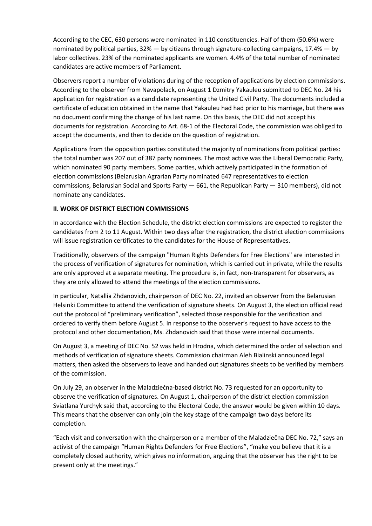According to the CEC, 630 persons were nominated in 110 constituencies. Half of them (50.6%) were nominated by political parties, 32% — by citizens through signature-collecting campaigns, 17.4% — by labor collectives. 23% of the nominated applicants are women. 4.4% of the total number of nominated candidates are active members of Parliament.

Observers report a number of violations during of the reception of applications by election commissions. According to the observer from Navapolack, on August 1 Dzmitry Yakauleu submitted to DEC No. 24 his application for registration as a candidate representing the United Civil Party. The documents included a certificate of education obtained in the name that Yakauleu had had prior to his marriage, but there was no document confirming the change of his last name. On this basis, the DEC did not accept his documents for registration. According to Art. 68-1 of the Electoral Code, the commission was obliged to accept the documents, and then to decide on the question of registration.

Applications from the opposition parties constituted the majority of nominations from political parties: the total number was 207 out of 387 party nominees. The most active was the Liberal Democratic Party, which nominated 90 party members. Some parties, which actively participated in the formation of election commissions (Belarusian Agrarian Party nominated 647 representatives to election commissions, Belarusian Social and Sports Party  $-$  661, the Republican Party  $-$  310 members), did not nominate any candidates.

## **II. WORK OF DISTRICT ELECTION COMMISSIONS**

In accordance with the Election Schedule, the district election commissions are expected to register the candidates from 2 to 11 August. Within two days after the registration, the district election commissions will issue registration certificates to the candidates for the House of Representatives.

Traditionally, observers of the campaign "Human Rights Defenders for Free Elections" are interested in the process of verification of signatures for nomination, which is carried out in private, while the results are only approved at a separate meeting. The procedure is, in fact, non-transparent for observers, as they are only allowed to attend the meetings of the election commissions.

In particular, Natallia Zhdanovich, chairperson of DEC No. 22, invited an observer from the Belarusian Helsinki Committee to attend the verification of signature sheets. On August 3, the election official read out the protocol of "preliminary verification", selected those responsible for the verification and ordered to verify them before August 5. In response to the observer's request to have access to the protocol and other documentation, Ms. Zhdanovich said that those were internal documents.

On August 3, a meeting of DEC No. 52 was held in Hrodna, which determined the order of selection and methods of verification of signature sheets. Commission chairman Aleh Bialinski announced legal matters, then asked the observers to leave and handed out signatures sheets to be verified by members of the commission.

On July 29, an observer in the Maladziečna-based district No. 73 requested for an opportunity to observe the verification of signatures. On August 1, chairperson of the district election commission Sviatlana Yurchyk said that, according to the Electoral Code, the answer would be given within 10 days. This means that the observer can only join the key stage of the campaign two days before its completion.

"Each visit and conversation with the chairperson or a member of the Maladziečna DEC No. 72," says an activist of the campaign "Human Rights Defenders for Free Elections", "make you believe that it is a completely closed authority, which gives no information, arguing that the observer has the right to be present only at the meetings."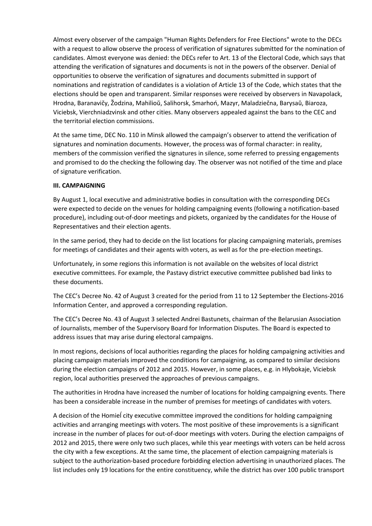Almost every observer of the campaign "Human Rights Defenders for Free Elections" wrote to the DECs with a request to allow observe the process of verification of signatures submitted for the nomination of candidates. Almost everyone was denied: the DECs refer to Art. 13 of the Electoral Code, which says that attending the verification of signatures and documents is not in the powers of the observer. Denial of opportunities to observe the verification of signatures and documents submitted in support of nominations and registration of candidates is a violation of Article 13 of the Code, which states that the elections should be open and transparent. Similar responses were received by observers in Navapolack, Hrodna, Baranavičy, Žodzina, Mahilioŭ, Salihorsk, Smarhoń, Mazyr, Maladziečna, Barysaŭ, Biaroza, Viciebsk, Vierchniadzvinsk and other cities. Many observers appealed against the bans to the CEC and the territorial election commissions.

At the same time, DEC No. 110 in Minsk allowed the campaign's observer to attend the verification of signatures and nomination documents. However, the process was of formal character: in reality, members of the commission verified the signatures in silence, some referred to pressing engagements and promised to do the checking the following day. The observer was not notified of the time and place of signature verification.

#### **III. CAMPAIGNING**

By August 1, local executive and administrative bodies in consultation with the corresponding DECs were expected to decide on the venues for holding campaigning events (following a notification-based procedure), including out-of-door meetings and pickets, organized by the candidates for the House of Representatives and their election agents.

In the same period, they had to decide on the list locations for placing campaigning materials, premises for meetings of candidates and their agents with voters, as well as for the pre-election meetings.

Unfortunately, in some regions this information is not available on the websites of local district executive committees. For example, the Pastavy district executive committee published bad links to these documents.

The CEC's Decree No. 42 of August 3 created for the period from 11 to 12 September the Elections-2016 Information Center, and approved a corresponding regulation.

The CEC's Decree No. 43 of August 3 selected Andrei Bastunets, chairman of the Belarusian Association of Journalists, member of the Supervisory Board for Information Disputes. The Board is expected to address issues that may arise during electoral campaigns.

In most regions, decisions of local authorities regarding the places for holding campaigning activities and placing campaign materials improved the conditions for campaigning, as compared to similar decisions during the election campaigns of 2012 and 2015. However, in some places, e.g. in Hlybokaje, Viciebsk region, local authorities preserved the approaches of previous campaigns.

The authorities in Hrodna have increased the number of locations for holding campaigning events. There has been a considerable increase in the number of premises for meetings of candidates with voters.

A decision of the Homieĺ city executive committee improved the conditions for holding campaigning activities and arranging meetings with voters. The most positive of these improvements is a significant increase in the number of places for out-of-door meetings with voters. During the election campaigns of 2012 and 2015, there were only two such places, while this year meetings with voters can be held across the city with a few exceptions. At the same time, the placement of election campaigning materials is subject to the authorization-based procedure forbidding election advertising in unauthorized places. The list includes only 19 locations for the entire constituency, while the district has over 100 public transport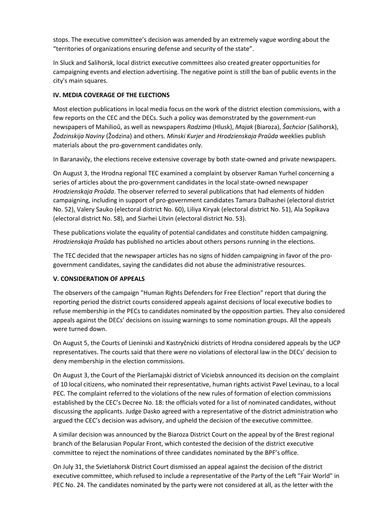stops. The executive committee's decision was amended by an extremely vague wording about the "territories of organizations ensuring defense and security of the state".

In Sluck and Salihorsk, local district executive committees also created greater opportunities for campaigning events and election advertising. The negative point is still the ban of public events in the city's main squares.

## **IV. MEDIA COVERAGE OF THE ELECTIONS**

Most election publications in local media focus on the work of the district election commissions, with a few reports on the CEC and the DECs. Such a policy was demonstrated by the government-run newspapers of Mahilioŭ, as well as newspapers *Radzima* (Hlusk), *Majak* (Biaroza), *Šachcior* (Salihorsk), *Žodzinskija Naviny* (Žodzina) and others. *Minski Kurjer* and *Hrodzienskaja Praŭda* weeklies publish materials about the pro-government candidates only.

In Baranavičy, the elections receive extensive coverage by both state-owned and private newspapers.

On August 3, the Hrodna regional TEC examined a complaint by observer Raman Yurhel concerning a series of articles about the pro-government candidates in the local state-owned newspaper *Hrodzienskaja Praŭda*. The observer referred to several publications that had elements of hidden campaigning, including in support of pro-government candidates Tamara Dalhashei (electoral district No. 52), Valery Sauko (electoral district No. 60), Liliya Kiryak (electoral district No. 51), Ala Sopikava (electoral district No. 58), and Siarhei Litvin (electoral district No. 53).

These publications violate the equality of potential candidates and constitute hidden campaigning. *Hrodzienskaja Praŭda* has published no articles about others persons running in the elections.

The TEC decided that the newspaper articles has no signs of hidden campaigning in favor of the progovernment candidates, saying the candidates did not abuse the administrative resources.

## **V. CONSIDERATION OF APPEALS**

The observers of the campaign "Human Rights Defenders for Free Election" report that during the reporting period the district courts considered appeals against decisions of local executive bodies to refuse membership in the PECs to candidates nominated by the opposition parties. They also considered appeals against the DECs' decisions on issuing warnings to some nomination groups. All the appeals were turned down.

On August 5, the Courts of Lieninski and Kastryčnicki districts of Hrodna considered appeals by the UCP representatives. The courts said that there were no violations of electoral law in the DECs' decision to deny membership in the election commissions.

On August 3, the Court of the Pieršamajski district of Viciebsk announced its decision on the complaint of 10 local citizens, who nominated their representative, human rights activist Pavel Levinau, to a local PEC. The complaint referred to the violations of the new rules of formation of election commissions established by the CEC's Decree No. 18: the officials voted for a list of nominated candidates, without discussing the applicants. Judge Dasko agreed with a representative of the district administration who argued the CEC's decision was advisory, and upheld the decision of the executive committee.

A similar decision was announced by the Biaroza District Court on the appeal by of the Brest regional branch of the Belarusian Popular Front, which contested the decision of the district executive committee to reject the nominations of three candidates nominated by the BPF's office.

On July 31, the Svietlahorsk District Court dismissed an appeal against the decision of the district executive committee, which refused to include a representative of the Party of the Left "Fair World" in PEC No. 24. The candidates nominated by the party were not considered at all, as the letter with the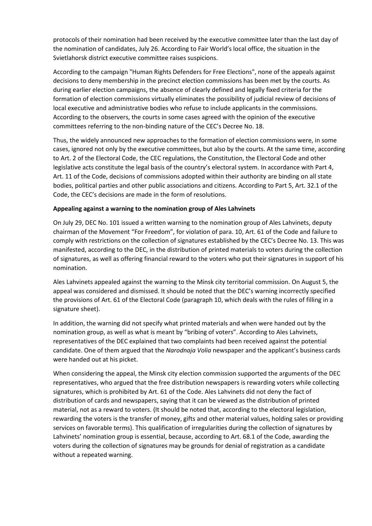protocols of their nomination had been received by the executive committee later than the last day of the nomination of candidates, July 26. According to Fair World's local office, the situation in the Svietlahorsk district executive committee raises suspicions.

According to the campaign "Human Rights Defenders for Free Elections", none of the appeals against decisions to deny membership in the precinct election commissions has been met by the courts. As during earlier election campaigns, the absence of clearly defined and legally fixed criteria for the formation of election commissions virtually eliminates the possibility of judicial review of decisions of local executive and administrative bodies who refuse to include applicants in the commissions. According to the observers, the courts in some cases agreed with the opinion of the executive committees referring to the non-binding nature of the CEC's Decree No. 18.

Thus, the widely announced new approaches to the formation of election commissions were, in some cases, ignored not only by the executive committees, but also by the courts. At the same time, according to Art. 2 of the Electoral Code, the CEC regulations, the Constitution, the Electoral Code and other legislative acts constitute the legal basis of the country's electoral system. In accordance with Part 4, Art. 11 of the Code, decisions of commissions adopted within their authority are binding on all state bodies, political parties and other public associations and citizens. According to Part 5, Art. 32.1 of the Code, the CEC's decisions are made in the form of resolutions.

#### **Appealing against a warning to the nomination group of Ales Lahvinets**

On July 29, DEC No. 101 issued a written warning to the nomination group of Ales Lahvinets, deputy chairman of the Movement "For Freedom", for violation of para. 10, Art. 61 of the Code and failure to comply with restrictions on the collection of signatures established by the CEC's Decree No. 13. This was manifested, according to the DEC, in the distribution of printed materials to voters during the collection of signatures, as well as offering financial reward to the voters who put their signatures in support of his nomination.

Ales Lahvinets appealed against the warning to the Minsk city territorial commission. On August 5, the appeal was considered and dismissed. It should be noted that the DEC's warning incorrectly specified the provisions of Art. 61 of the Electoral Code (paragraph 10, which deals with the rules of filling in a signature sheet).

In addition, the warning did not specify what printed materials and when were handed out by the nomination group, as well as what is meant by "bribing of voters". According to Ales Lahvinets, representatives of the DEC explained that two complaints had been received against the potential candidate. One of them argued that the *Narodnaja Volia* newspaper and the applicant's business cards were handed out at his picket.

When considering the appeal, the Minsk city election commission supported the arguments of the DEC representatives, who argued that the free distribution newspapers is rewarding voters while collecting signatures, which is prohibited by Art. 61 of the Code. Ales Lahvinets did not deny the fact of distribution of cards and newspapers, saying that it can be viewed as the distribution of printed material, not as a reward to voters. (It should be noted that, according to the electoral legislation, rewarding the voters is the transfer of money, gifts and other material values, holding sales or providing services on favorable terms). This qualification of irregularities during the collection of signatures by Lahvinets' nomination group is essential, because, according to Art. 68.1 of the Code, awarding the voters during the collection of signatures may be grounds for denial of registration as a candidate without a repeated warning.